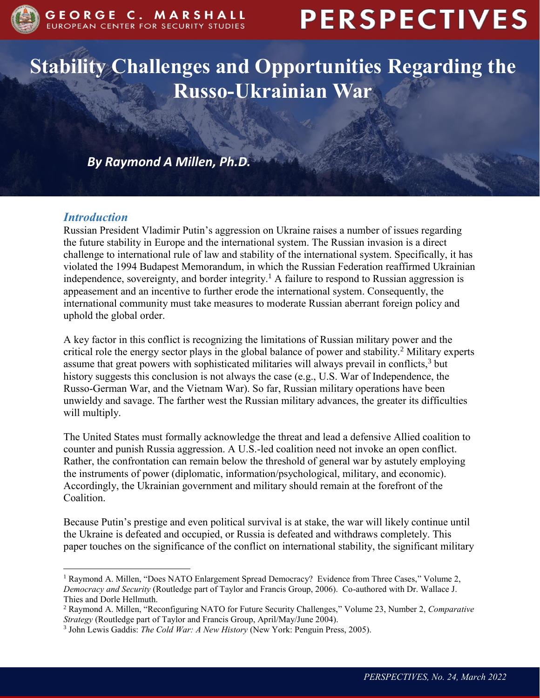

# **PERSPECTIVES**

## **Stability Challenges and Opportunities Regarding the Russo-Ukrainian War**

*By Raymond A Millen, Ph.D.*

### *Introduction*

 $\overline{a}$ 

Russian President Vladimir Putin's aggression on Ukraine raises a number of issues regarding the future stability in Europe and the international system. The Russian invasion is a direct challenge to international rule of law and stability of the international system. Specifically, it has violated the 1994 Budapest Memorandum, in which the Russian Federation reaffirmed Ukrainian independence, sovereignty, and border integrity.<sup>1</sup> A failure to respond to Russian aggression is appeasement and an incentive to further erode the international system. Consequently, the international community must take measures to moderate Russian aberrant foreign policy and uphold the global order.

A key factor in this conflict is recognizing the limitations of Russian military power and the critical role the energy sector plays in the global balance of power and stability.<sup>2</sup> Military experts assume that great powers with sophisticated militaries will always prevail in conflicts, $3$  but history suggests this conclusion is not always the case (e.g., U.S. War of Independence, the Russo-German War, and the Vietnam War). So far, Russian military operations have been unwieldy and savage. The farther west the Russian military advances, the greater its difficulties will multiply.

The United States must formally acknowledge the threat and lead a defensive Allied coalition to counter and punish Russia aggression. A U.S.-led coalition need not invoke an open conflict. Rather, the confrontation can remain below the threshold of general war by astutely employing the instruments of power (diplomatic, information/psychological, military, and economic). Accordingly, the Ukrainian government and military should remain at the forefront of the Coalition.

Because Putin's prestige and even political survival is at stake, the war will likely continue until the Ukraine is defeated and occupied, or Russia is defeated and withdraws completely. This paper touches on the significance of the conflict on international stability, the significant military

<sup>&</sup>lt;sup>1</sup> Raymond A. Millen, "Does NATO Enlargement Spread Democracy? Evidence from Three Cases," Volume 2, *Democracy and Security* (Routledge part of Taylor and Francis Group, 2006). Co-authored with Dr. Wallace J. Thies and Dorle Hellmuth.

<sup>2</sup> Raymond A. Millen, "Reconfiguring NATO for Future Security Challenges," Volume 23, Number 2, *Comparative Strategy* (Routledge part of Taylor and Francis Group, April/May/June 2004).

<sup>3</sup> John Lewis Gaddis: *The Cold War: A New History* (New York: Penguin Press, 2005).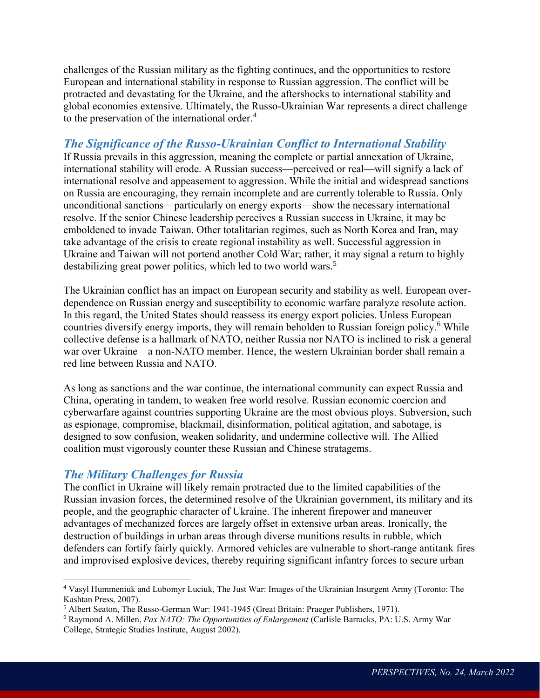challenges of the Russian military as the fighting continues, and the opportunities to restore European and international stability in response to Russian aggression. The conflict will be protracted and devastating for the Ukraine, and the aftershocks to international stability and global economies extensive. Ultimately, the Russo-Ukrainian War represents a direct challenge to the preservation of the international order.<sup>4</sup>

#### *The Significance of the Russo-Ukrainian Conflict to International Stability*

If Russia prevails in this aggression, meaning the complete or partial annexation of Ukraine, international stability will erode. A Russian success—perceived or real—will signify a lack of international resolve and appeasement to aggression. While the initial and widespread sanctions on Russia are encouraging, they remain incomplete and are currently tolerable to Russia. Only unconditional sanctions—particularly on energy exports—show the necessary international resolve. If the senior Chinese leadership perceives a Russian success in Ukraine, it may be emboldened to invade Taiwan. Other totalitarian regimes, such as North Korea and Iran, may take advantage of the crisis to create regional instability as well. Successful aggression in Ukraine and Taiwan will not portend another Cold War; rather, it may signal a return to highly destabilizing great power politics, which led to two world wars.<sup>5</sup>

The Ukrainian conflict has an impact on European security and stability as well. European overdependence on Russian energy and susceptibility to economic warfare paralyze resolute action. In this regard, the United States should reassess its energy export policies. Unless European countries diversify energy imports, they will remain beholden to Russian foreign policy.<sup>6</sup> While collective defense is a hallmark of NATO, neither Russia nor NATO is inclined to risk a general war over Ukraine—a non-NATO member. Hence, the western Ukrainian border shall remain a red line between Russia and NATO.

As long as sanctions and the war continue, the international community can expect Russia and China, operating in tandem, to weaken free world resolve. Russian economic coercion and cyberwarfare against countries supporting Ukraine are the most obvious ploys. Subversion, such as espionage, compromise, blackmail, disinformation, political agitation, and sabotage, is designed to sow confusion, weaken solidarity, and undermine collective will. The Allied coalition must vigorously counter these Russian and Chinese stratagems.

#### *The Military Challenges for Russia*

 $\overline{a}$ 

The conflict in Ukraine will likely remain protracted due to the limited capabilities of the Russian invasion forces, the determined resolve of the Ukrainian government, its military and its people, and the geographic character of Ukraine. The inherent firepower and maneuver advantages of mechanized forces are largely offset in extensive urban areas. Ironically, the destruction of buildings in urban areas through diverse munitions results in rubble, which defenders can fortify fairly quickly. Armored vehicles are vulnerable to short-range antitank fires and improvised explosive devices, thereby requiring significant infantry forces to secure urban

<sup>4</sup> Vasyl Hummeniuk and Lubomyr Luciuk, The Just War: Images of the Ukrainian Insurgent Army (Toronto: The Kashtan Press, 2007).

<sup>5</sup> Albert Seaton, The Russo-German War: 1941-1945 (Great Britain: Praeger Publishers, 1971).

<sup>6</sup> Raymond A. Millen, *Pax NATO: The Opportunities of Enlargement* (Carlisle Barracks, PA: U.S. Army War College, Strategic Studies Institute, August 2002).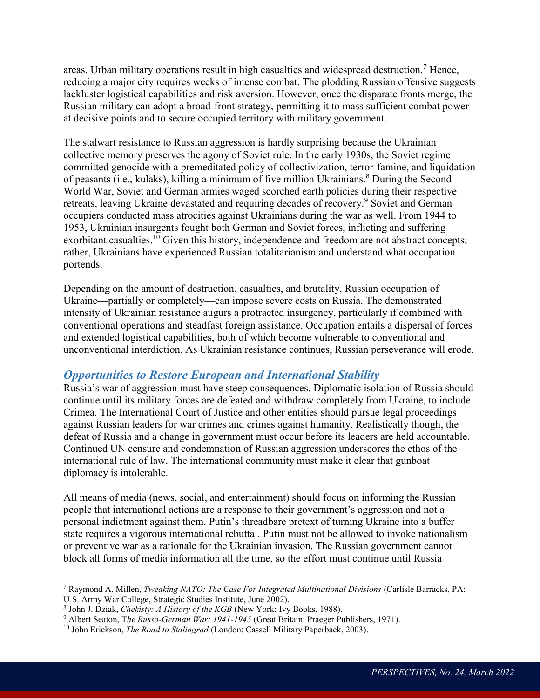areas. Urban military operations result in high casualties and widespread destruction.<sup>7</sup> Hence, reducing a major city requires weeks of intense combat. The plodding Russian offensive suggests lackluster logistical capabilities and risk aversion. However, once the disparate fronts merge, the Russian military can adopt a broad-front strategy, permitting it to mass sufficient combat power at decisive points and to secure occupied territory with military government.

The stalwart resistance to Russian aggression is hardly surprising because the Ukrainian collective memory preserves the agony of Soviet rule. In the early 1930s, the Soviet regime committed genocide with a premeditated policy of collectivization, terror-famine, and liquidation of peasants (i.e., kulaks), killing a minimum of five million Ukrainians.<sup>8</sup> During the Second World War, Soviet and German armies waged scorched earth policies during their respective retreats, leaving Ukraine devastated and requiring decades of recovery.<sup>9</sup> Soviet and German occupiers conducted mass atrocities against Ukrainians during the war as well. From 1944 to 1953, Ukrainian insurgents fought both German and Soviet forces, inflicting and suffering exorbitant casualties.<sup>10</sup> Given this history, independence and freedom are not abstract concepts; rather, Ukrainians have experienced Russian totalitarianism and understand what occupation portends.

Depending on the amount of destruction, casualties, and brutality, Russian occupation of Ukraine—partially or completely—can impose severe costs on Russia. The demonstrated intensity of Ukrainian resistance augurs a protracted insurgency, particularly if combined with conventional operations and steadfast foreign assistance. Occupation entails a dispersal of forces and extended logistical capabilities, both of which become vulnerable to conventional and unconventional interdiction. As Ukrainian resistance continues, Russian perseverance will erode.

#### *Opportunities to Restore European and International Stability*

Russia's war of aggression must have steep consequences. Diplomatic isolation of Russia should continue until its military forces are defeated and withdraw completely from Ukraine, to include Crimea. The International Court of Justice and other entities should pursue legal proceedings against Russian leaders for war crimes and crimes against humanity. Realistically though, the defeat of Russia and a change in government must occur before its leaders are held accountable. Continued UN censure and condemnation of Russian aggression underscores the ethos of the international rule of law. The international community must make it clear that gunboat diplomacy is intolerable.

All means of media (news, social, and entertainment) should focus on informing the Russian people that international actions are a response to their government's aggression and not a personal indictment against them. Putin's threadbare pretext of turning Ukraine into a buffer state requires a vigorous international rebuttal. Putin must not be allowed to invoke nationalism or preventive war as a rationale for the Ukrainian invasion. The Russian government cannot block all forms of media information all the time, so the effort must continue until Russia

 $\overline{a}$ 

<sup>7</sup> Raymond A. Millen, *Tweaking NATO: The Case For Integrated Multinational Divisions* (Carlisle Barracks, PA: U.S. Army War College, Strategic Studies Institute, June 2002).

<sup>8</sup> John J. Dziak, *Chekisty: A History of the KGB* (New York: Ivy Books, 1988).

<sup>&</sup>lt;sup>9</sup> Albert Seaton, The Russo-German War: 1941-1945 (Great Britain: Praeger Publishers, 1971).

<sup>10</sup> John Erickson, *The Road to Stalingrad* (London: Cassell Military Paperback, 2003).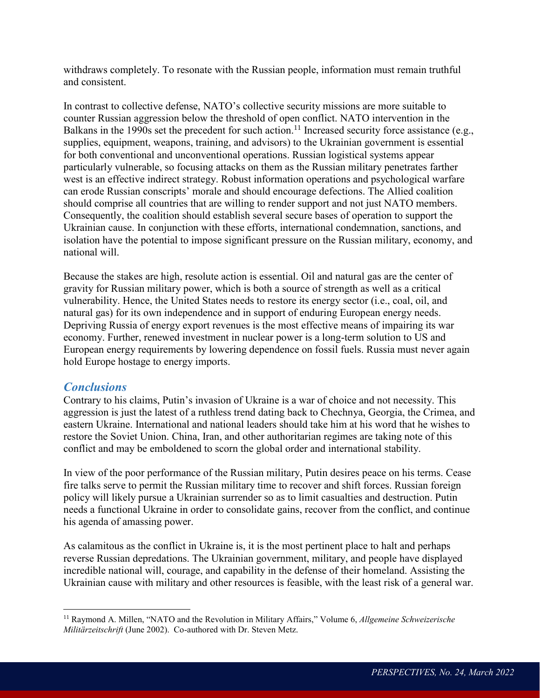withdraws completely. To resonate with the Russian people, information must remain truthful and consistent.

In contrast to collective defense, NATO's collective security missions are more suitable to counter Russian aggression below the threshold of open conflict. NATO intervention in the Balkans in the 1990s set the precedent for such action.<sup>11</sup> Increased security force assistance (e.g., supplies, equipment, weapons, training, and advisors) to the Ukrainian government is essential for both conventional and unconventional operations. Russian logistical systems appear particularly vulnerable, so focusing attacks on them as the Russian military penetrates farther west is an effective indirect strategy. Robust information operations and psychological warfare can erode Russian conscripts' morale and should encourage defections. The Allied coalition should comprise all countries that are willing to render support and not just NATO members. Consequently, the coalition should establish several secure bases of operation to support the Ukrainian cause. In conjunction with these efforts, international condemnation, sanctions, and isolation have the potential to impose significant pressure on the Russian military, economy, and national will.

Because the stakes are high, resolute action is essential. Oil and natural gas are the center of gravity for Russian military power, which is both a source of strength as well as a critical vulnerability. Hence, the United States needs to restore its energy sector (i.e., coal, oil, and natural gas) for its own independence and in support of enduring European energy needs. Depriving Russia of energy export revenues is the most effective means of impairing its war economy. Further, renewed investment in nuclear power is a long-term solution to US and European energy requirements by lowering dependence on fossil fuels. Russia must never again hold Europe hostage to energy imports.

#### *Conclusions*

 $\overline{a}$ 

Contrary to his claims, Putin's invasion of Ukraine is a war of choice and not necessity. This aggression is just the latest of a ruthless trend dating back to Chechnya, Georgia, the Crimea, and eastern Ukraine. International and national leaders should take him at his word that he wishes to restore the Soviet Union. China, Iran, and other authoritarian regimes are taking note of this conflict and may be emboldened to scorn the global order and international stability.

In view of the poor performance of the Russian military, Putin desires peace on his terms. Cease fire talks serve to permit the Russian military time to recover and shift forces. Russian foreign policy will likely pursue a Ukrainian surrender so as to limit casualties and destruction. Putin needs a functional Ukraine in order to consolidate gains, recover from the conflict, and continue his agenda of amassing power.

As calamitous as the conflict in Ukraine is, it is the most pertinent place to halt and perhaps reverse Russian depredations. The Ukrainian government, military, and people have displayed incredible national will, courage, and capability in the defense of their homeland. Assisting the Ukrainian cause with military and other resources is feasible, with the least risk of a general war.

<sup>11</sup> Raymond A. Millen, "NATO and the Revolution in Military Affairs," Volume 6, *Allgemeine Schweizerische Militärzeitschrift* (June 2002). Co-authored with Dr. Steven Metz.